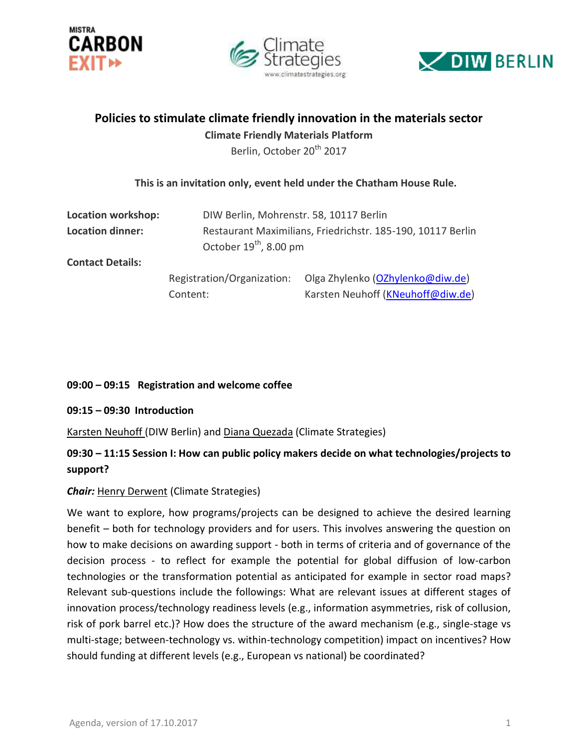





# **Policies to stimulate climate friendly innovation in the materials sector**

**Climate Friendly Materials Platform**

Berlin, October 20<sup>th</sup> 2017

# **This is an invitation only, event held under the Chatham House Rule.**

| Location workshop:      |                                                             | DIW Berlin, Mohrenstr. 58, 10117 Berlin |  |
|-------------------------|-------------------------------------------------------------|-----------------------------------------|--|
| <b>Location dinner:</b> | Restaurant Maximilians, Friedrichstr. 185-190, 10117 Berlin |                                         |  |
|                         |                                                             | October $19^{th}$ , 8.00 pm             |  |
| <b>Contact Details:</b> |                                                             |                                         |  |
|                         | Registration/Organization:                                  | Olga Zhylenko (OZhylenko@diw.de)        |  |
|                         | Content:                                                    | Karsten Neuhoff (KNeuhoff@diw.de)       |  |

# **09:00 – 09:15 Registration and welcome coffee**

#### **09:15 – 09:30 Introduction**

Karsten Neuhoff (DIW Berlin) and Diana Quezada (Climate Strategies)

# **09:30 – 11:15 Session I: How can public policy makers decide on what technologies/projects to support?**

# *Chair:* Henry Derwent (Climate Strategies)

We want to explore, how programs/projects can be designed to achieve the desired learning benefit – both for technology providers and for users. This involves answering the question on how to make decisions on awarding support - both in terms of criteria and of governance of the decision process - to reflect for example the potential for global diffusion of low-carbon technologies or the transformation potential as anticipated for example in sector road maps? Relevant sub-questions include the followings: What are relevant issues at different stages of innovation process/technology readiness levels (e.g., information asymmetries, risk of collusion, risk of pork barrel etc.)? How does the structure of the award mechanism (e.g., single-stage vs multi-stage; between-technology vs. within-technology competition) impact on incentives? How should funding at different levels (e.g., European vs national) be coordinated?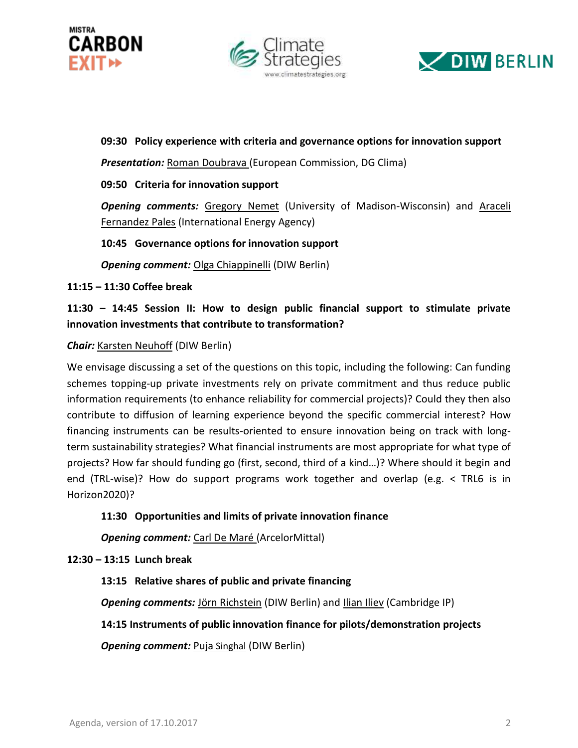





**09:30 Policy experience with criteria and governance options for innovation support**

*Presentation:* Roman Doubrava (European Commission, DG Clima)

### **09:50 Criteria for innovation support**

**Opening comments:** Gregory Nemet (University of Madison-Wisconsin) and Araceli Fernandez Pales (International Energy Agency)

#### **10:45 Governance options for innovation support**

*Opening comment:* Olga Chiappinelli (DIW Berlin)

#### **11:15 – 11:30 Coffee break**

**11:30 – 14:45 Session II: How to design public financial support to stimulate private innovation investments that contribute to transformation?** 

#### *Chair:* Karsten Neuhoff (DIW Berlin)

We envisage discussing a set of the questions on this topic, including the following: Can funding schemes topping-up private investments rely on private commitment and thus reduce public information requirements (to enhance reliability for commercial projects)? Could they then also contribute to diffusion of learning experience beyond the specific commercial interest? How financing instruments can be results-oriented to ensure innovation being on track with longterm sustainability strategies? What financial instruments are most appropriate for what type of projects? How far should funding go (first, second, third of a kind…)? Where should it begin and end (TRL-wise)? How do support programs work together and overlap (e.g. < TRL6 is in Horizon2020)?

#### **11:30 Opportunities and limits of private innovation finance**

*Opening comment:* Carl De Maré (ArcelorMittal)

#### **12:30 – 13:15 Lunch break**

# **13:15 Relative shares of public and private financing**

**Opening comments:** Jörn Richstein (DIW Berlin) and *Ilian Iliev* (Cambridge IP)

# **14:15 Instruments of public innovation finance for pilots/demonstration projects**

**Opening comment:** Puja Singhal (DIW Berlin)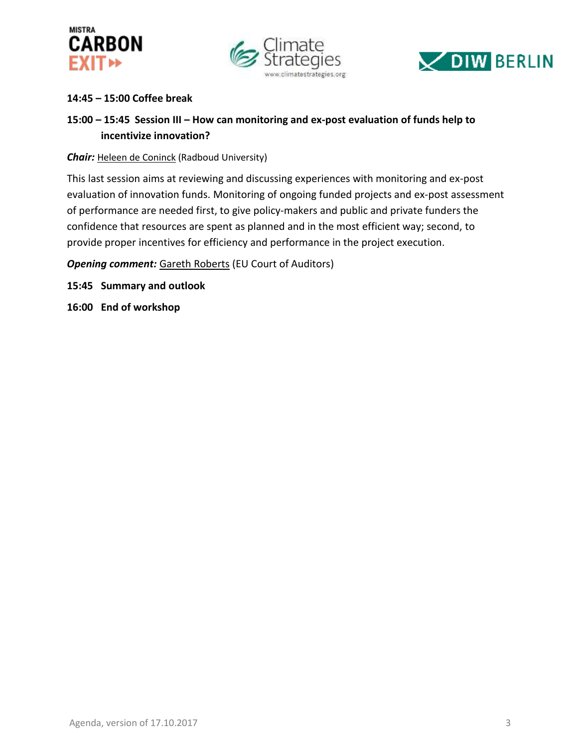





# **14:45 – 15:00 Coffee break**

# **15:00 – 15:45 Session III – How can monitoring and ex-post evaluation of funds help to incentivize innovation?**

**Chair:** Heleen de Coninck (Radboud University)

This last session aims at reviewing and discussing experiences with monitoring and ex-post evaluation of innovation funds. Monitoring of ongoing funded projects and ex-post assessment of performance are needed first, to give policy-makers and public and private funders the confidence that resources are spent as planned and in the most efficient way; second, to provide proper incentives for efficiency and performance in the project execution.

**Opening comment:** Gareth Roberts (EU Court of Auditors)

**15:45 Summary and outlook**

**16:00 End of workshop**